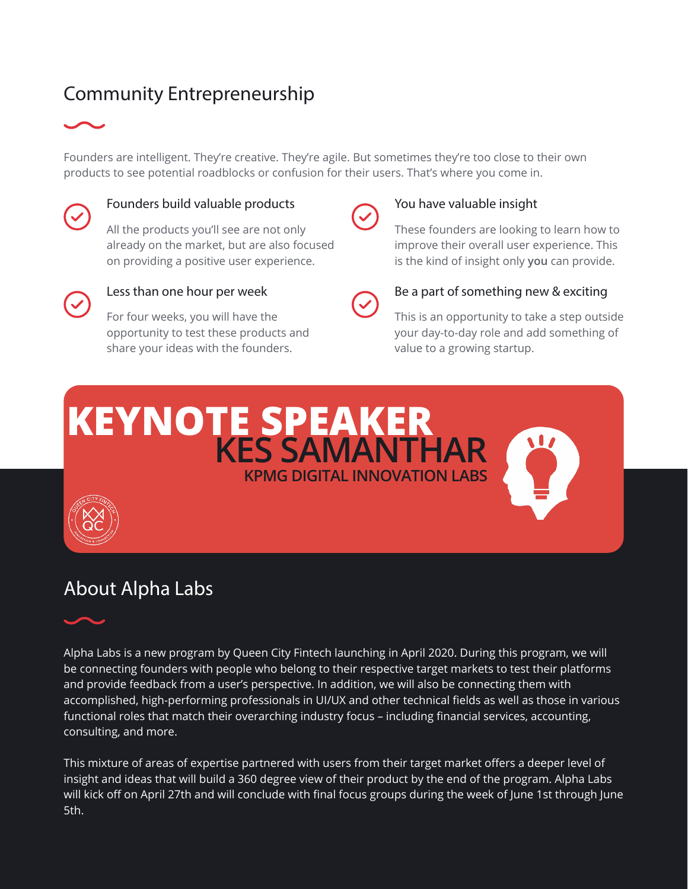# Community Entrepreneurship



Founders are intelligent. They're creative. They're agile. But sometimes they're too close to their own products to see potential roadblocks or confusion for their users. That's where you come in.



# Founders build valuable products

All the products you'll see are not only already on the market, but are also focused on providing a positive user experience.



# Less than one hour per week

For four weeks, you will have the opportunity to test these products and share your ideas with the founders.



## You have valuable insight

These founders are looking to learn how to improve their overall user experience. This is the kind of insight only **you** can provide.



### Be a part of something new & exciting

This is an opportunity to take a step outside your day-to-day role and add something of value to a growing startup.





# About Alpha Labs



Alpha Labs is a new program by Queen City Fintech launching in April 2020. During this program, we will be connecting founders with people who belong to their respective target markets to test their platforms and provide feedback from a user's perspective. In addition, we will also be connecting them with accomplished, high-performing professionals in UI/UX and other technical fields as well as those in various functional roles that match their overarching industry focus – including financial services, accounting, consulting, and more.

This mixture of areas of expertise partnered with users from their target market offers a deeper level of insight and ideas that will build a 360 degree view of their product by the end of the program. Alpha Labs will kick off on April 27th and will conclude with final focus groups during the week of June 1st through June 5th.